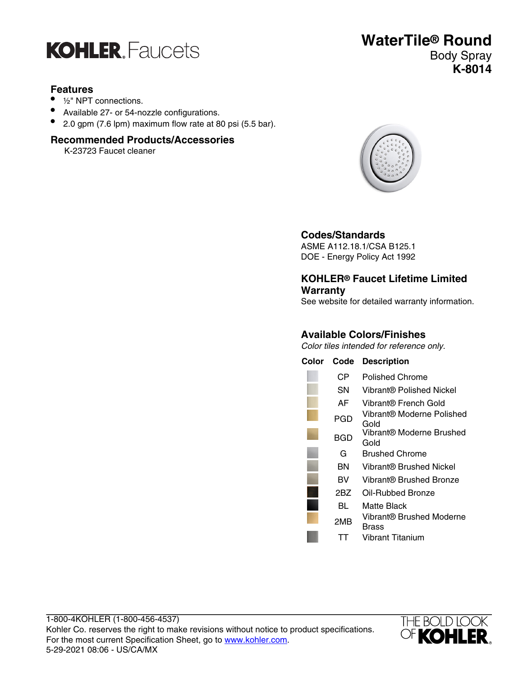

#### **Features**

- ½" NPT connections.
- Available 27- or 54-nozzle configurations.
- 2.0 gpm (7.6 lpm) maximum flow rate at 80 psi (5.5 bar).

#### **Recommended Products/Accessories**

K-23723 Faucet cleaner



#### **Codes/Standards**

ASME A112.18.1/CSA B125.1 DOE - Energy Policy Act 1992

#### **KOHLER® Faucet Lifetime Limited Warranty**

See website for detailed warranty information.

### **Available Colors/Finishes**

Color tiles intended for reference only.

| Color | Code | <b>Description</b>                |
|-------|------|-----------------------------------|
|       | CР   | Polished Chrome                   |
|       | SΝ   | Vibrant® Polished Nickel          |
|       | AF   | Vibrant® French Gold              |
|       | PGD  | Vibrant® Moderne Polished<br>Gold |
|       | BGD  | Vibrant® Moderne Brushed<br>Gold  |
|       | G    | Brushed Chrome                    |
|       | ΒN   | Vibrant® Brushed Nickel           |
|       | BV   | Vibrant® Brushed Bronze           |
|       | 2BZ  | Oil-Rubbed Bronze                 |
|       | BL   | Matte Black                       |
|       | 2MB  | Vibrant® Brushed Moderne<br>Brass |
|       |      | <b>Vibrant Titanium</b>           |



## **WaterTile® Round** Body Spray **K-8014**